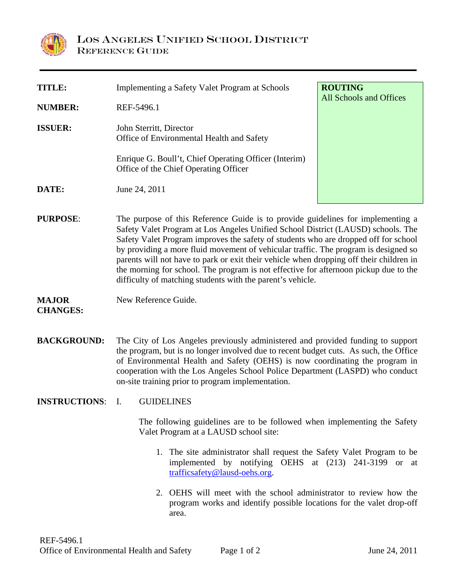

l

| <b>TITLE:</b>   | Implementing a Safety Valet Program at Schools                                                 | <b>ROUTING</b><br>All Schools and Offices |
|-----------------|------------------------------------------------------------------------------------------------|-------------------------------------------|
| <b>NUMBER:</b>  | REF-5496.1                                                                                     |                                           |
| <b>ISSUER:</b>  | John Sterritt, Director<br>Office of Environmental Health and Safety                           |                                           |
|                 | Enrique G. Boull't, Chief Operating Officer (Interim)<br>Office of the Chief Operating Officer |                                           |
| DATE:           | June 24, 2011                                                                                  |                                           |
| <b>PURPOSE:</b> | The purpose of this Reference Guide is to provide guidelines for implementing a                |                                           |

Safety Valet Program at Los Angeles Unified School District (LAUSD) schools. The Safety Valet Program improves the safety of students who are dropped off for school by providing a more fluid movement of vehicular traffic. The program is designed so parents will not have to park or exit their vehicle when dropping off their children in the morning for school. The program is not effective for afternoon pickup due to the difficulty of matching students with the parent's vehicle.

## **MAJOR CHANGES:**  New Reference Guide.

**BACKGROUND:** The City of Los Angeles previously administered and provided funding to support the program, but is no longer involved due to recent budget cuts. As such, the Office of Environmental Health and Safety (OEHS) is now coordinating the program in cooperation with the Los Angeles School Police Department (LASPD) who conduct on-site training prior to program implementation.

## **INSTRUCTIONS**: I. GUIDELINES

The following guidelines are to be followed when implementing the Safety Valet Program at a LAUSD school site:

- 1. The site administrator shall request the Safety Valet Program to be implemented by notifying OEHS at (213) 241-3199 or at trafficsafety@lausd-oehs.org.
- 2. OEHS will meet with the school administrator to review how the program works and identify possible locations for the valet drop-off area.